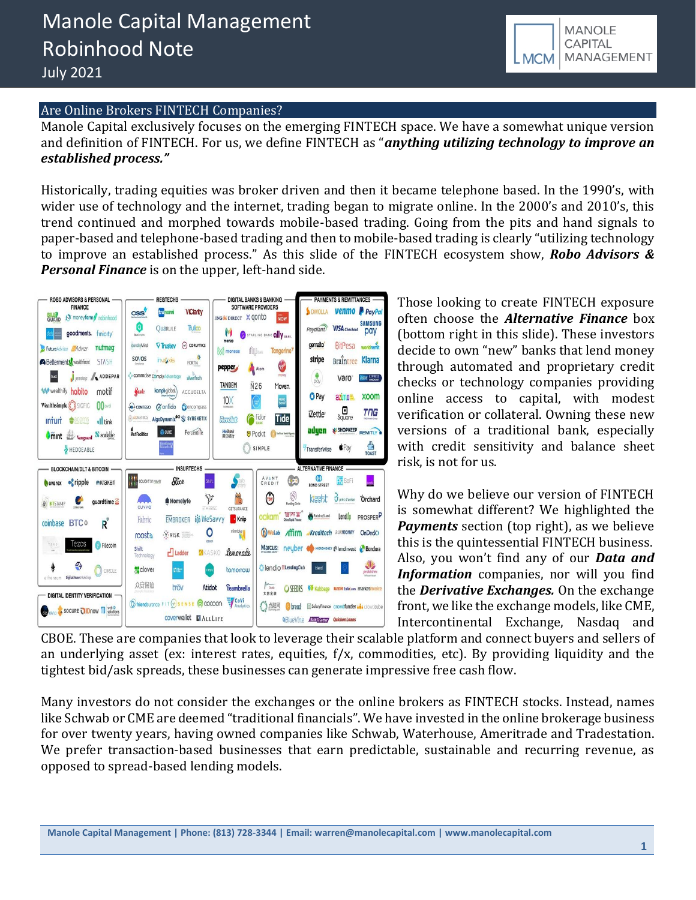

### Are Online Brokers FINTECH Companies?

Manole Capital exclusively focuses on the emerging FINTECH space. We have a somewhat unique version and definition of FINTECH. For us, we define FINTECH as "*anything utilizing technology to improve an established process."*

Historically, trading equities was broker driven and then it became telephone based. In the 1990's, with wider use of technology and the internet, trading began to migrate online. In the 2000's and 2010's, this trend continued and morphed towards mobile-based trading. Going from the pits and hand signals to paper-based and telephone-based trading and then to mobile-based trading is clearly "utilizing technology to improve an established process." As this slide of the FINTECH ecosystem show, *Robo Advisors & Personal Finance* is on the upper, left-hand side.



Those looking to create FINTECH exposure often choose the *Alternative Finance* box (bottom right in this slide). These investors decide to own "new" banks that lend money through automated and proprietary credit checks or technology companies providing online access to capital, with modest verification or collateral. Owning these new versions of a traditional bank, especially with credit sensitivity and balance sheet risk, is not for us.

Why do we believe our version of FINTECH is somewhat different? We highlighted the *Payments* section (top right), as we believe this is the quintessential FINTECH business. Also, you won't find any of our *Data and Information* companies, nor will you find the *Derivative Exchanges.* On the exchange front, we like the exchange models, like CME, Intercontinental Exchange, Nasdaq and

CBOE. These are companies that look to leverage their scalable platform and connect buyers and sellers of an underlying asset (ex: interest rates, equities, f/x, commodities, etc). By providing liquidity and the tightest bid/ask spreads, these businesses can generate impressive free cash flow.

Many investors do not consider the exchanges or the online brokers as FINTECH stocks. Instead, names like Schwab or CME are deemed "traditional financials". We have invested in the online brokerage business for over twenty years, having owned companies like Schwab, Waterhouse, Ameritrade and Tradestation. We prefer transaction-based businesses that earn predictable, sustainable and recurring revenue, as opposed to spread-based lending models.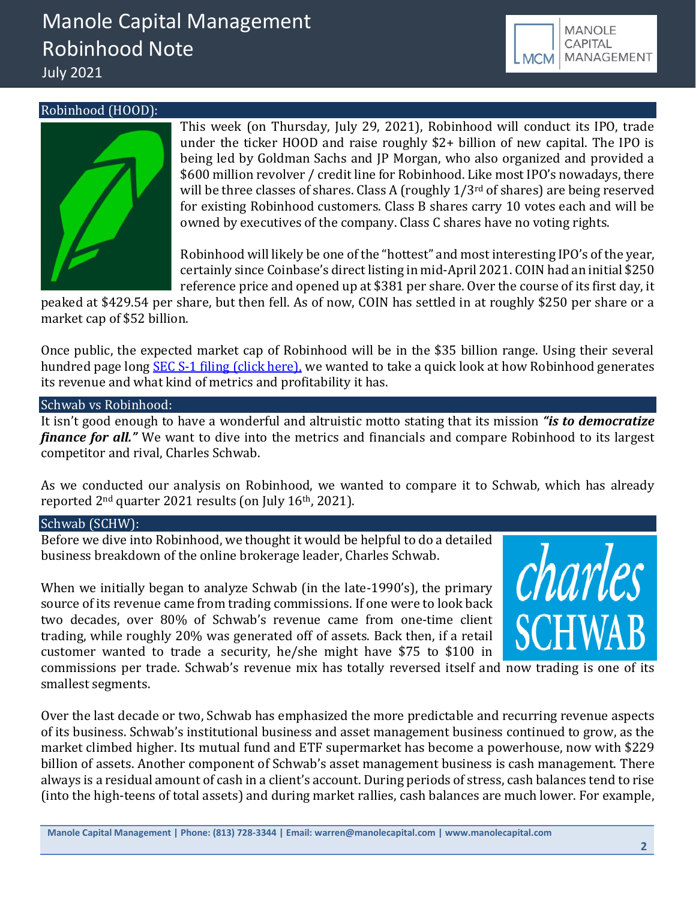# Manole Capital Management Robinhood Note July 2021



Robinhood (HOOD):



This week (on Thursday, July 29, 2021), Robinhood will conduct its IPO, trade under the ticker HOOD and raise roughly \$2+ billion of new capital. The IPO is being led by Goldman Sachs and JP Morgan, who also organized and provided a \$600 million revolver / credit line for Robinhood. Like most IPO's nowadays, there will be three classes of shares. Class A (roughly  $1/3<sup>rd</sup>$  of shares) are being reserved for existing Robinhood customers. Class B shares carry 10 votes each and will be owned by executives of the company. Class C shares have no voting rights.

Robinhood will likely be one of the "hottest" and most interesting IPO's of the year, certainly since Coinbase's direct listing in mid-April 2021. COIN had an initial \$250 reference price and opened up at \$381 per share. Over the course of its first day, it

peaked at \$429.54 per share, but then fell. As of now, COIN has settled in at roughly \$250 per share or a market cap of \$52 billion.

Once public, the expected market cap of Robinhood will be in the \$35 billion range. Using their several hundred page long **SEC S-1 filing (click here)**, we wanted to take a quick look at how Robinhood generates its revenue and what kind of metrics and profitability it has.

## Schwab vs Robinhood:

It isn't good enough to have a wonderful and altruistic motto stating that its mission *"is to democratize finance for all.*" We want to dive into the metrics and financials and compare Robinhood to its largest competitor and rival, Charles Schwab.

As we conducted our analysis on Robinhood, we wanted to compare it to Schwab, which has already reported 2nd quarter 2021 results (on July 16th, 2021).

## Schwab (SCHW):

Before we dive into Robinhood, we thought it would be helpful to do a detailed business breakdown of the online brokerage leader, Charles Schwab.

When we initially began to analyze Schwab (in the late-1990's), the primary source of its revenue came from trading commissions. If one were to look back two decades, over 80% of Schwab's revenue came from one-time client trading, while roughly 20% was generated off of assets. Back then, if a retail customer wanted to trade a security, he/she might have \$75 to \$100 in



commissions per trade. Schwab's revenue mix has totally reversed itself and now trading is one of its smallest segments.

Over the last decade or two, Schwab has emphasized the more predictable and recurring revenue aspects of its business. Schwab's institutional business and asset management business continued to grow, as the market climbed higher. Its mutual fund and ETF supermarket has become a powerhouse, now with \$229 billion of assets. Another component of Schwab's asset management business is cash management. There always is a residual amount of cash in a client's account. During periods of stress, cash balances tend to rise (into the high-teens of total assets) and during market rallies, cash balances are much lower. For example,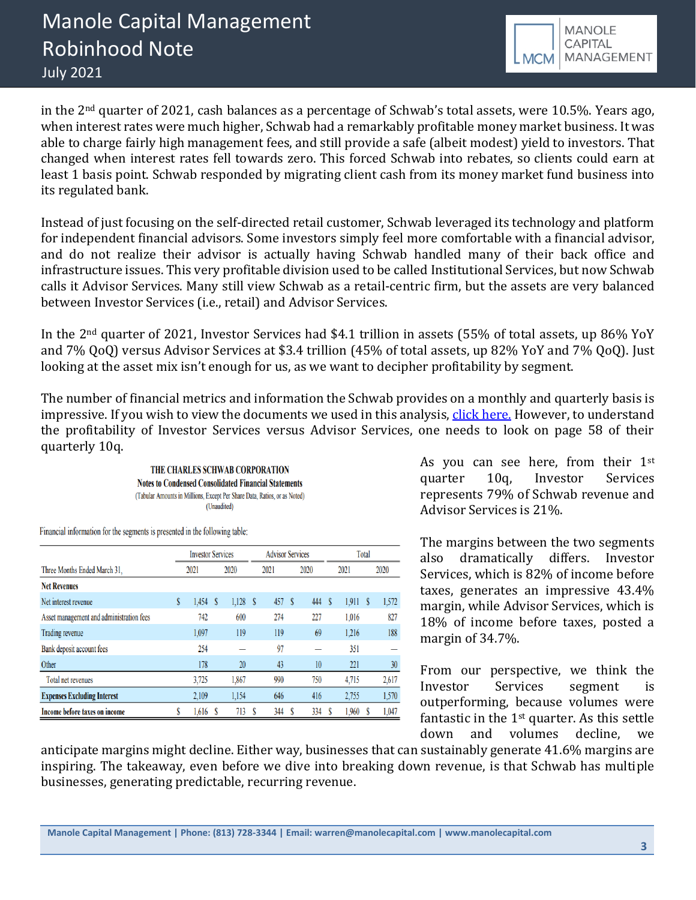

in the 2nd quarter of 2021, cash balances as a percentage of Schwab's total assets, were 10.5%. Years ago, when interest rates were much higher, Schwab had a remarkably profitable money market business. It was able to charge fairly high management fees, and still provide a safe (albeit modest) yield to investors. That changed when interest rates fell towards zero. This forced Schwab into rebates, so clients could earn at least 1 basis point. Schwab responded by migrating client cash from its money market fund business into its regulated bank.

Instead of just focusing on the self-directed retail customer, Schwab leveraged its technology and platform for independent financial advisors. Some investors simply feel more comfortable with a financial advisor, and do not realize their advisor is actually having Schwab handled many of their back office and infrastructure issues. This very profitable division used to be called Institutional Services, but now Schwab calls it Advisor Services. Many still view Schwab as a retail-centric firm, but the assets are very balanced between Investor Services (i.e., retail) and Advisor Services.

In the 2nd quarter of 2021, Investor Services had \$4.1 trillion in assets (55% of total assets, up 86% YoY and 7% QoQ) versus Advisor Services at \$3.4 trillion (45% of total assets, up 82% YoY and 7% QoQ). Just looking at the asset mix isn't enough for us, as we want to decipher profitability by segment.

The number of financial metrics and information the Schwab provides on a monthly and quarterly basis is impressive. If you wish to view the documents we used in this analysis, [click here.](https://content.schwab.com/web/retail/public/about-schwab/schw_q2_2021_earnings_release.pdf) However, to understand the profitability of Investor Services versus Advisor Services, one needs to look on page 58 of their quarterly 10q.

> THE CHARLES SCHWAB CORPORATION **Notes to Condensed Consolidated Financial Statements** (Tabular Amounts in Millions, Except Per Share Data, Ratios, or as Noted) (Unaudited)

Financial information for the segments is presented in the following table:

|                                          | <b>Investor Services</b> |   |       |   | <b>Advisor Services</b> |   |      |   |       | Total |       |
|------------------------------------------|--------------------------|---|-------|---|-------------------------|---|------|---|-------|-------|-------|
| Three Months Ended March 31.             | 2021                     |   | 2020  |   | 2021                    |   | 2020 |   | 2021  |       | 2020  |
| <b>Net Revenues</b>                      |                          |   |       |   |                         |   |      |   |       |       |       |
| Net interest revenue                     | \$<br>1,454              | S | 1,128 | S | 457                     | S | 444  | S | 1,911 | S     | 1,572 |
| Asset management and administration fees | 742                      |   | 600   |   | 274                     |   | 227  |   | 1.016 |       | 827   |
| Trading revenue                          | 1.097                    |   | 119   |   | 119                     |   | 69   |   | 1.216 |       | 188   |
| Bank deposit account fees                | 254                      |   |       |   | 97                      |   |      |   | 351   |       |       |
| Other                                    | 178                      |   | 20    |   | 43                      |   | 10   |   | 221   |       | 30    |
| Total net revenues                       | 3,725                    |   | 1,867 |   | 990                     |   | 750  |   | 4,715 |       | 2,617 |
| <b>Expenses Excluding Interest</b>       | 2.109                    |   | 1,154 |   | 646                     |   | 416  |   | 2,755 |       | 1,570 |
| Income before taxes on income            | 1,616                    |   | 713   |   | 344                     |   | 334  |   | 1,960 |       | 1,047 |

As you can see here, from their 1st quarter 10q, Investor Services represents 79% of Schwab revenue and Advisor Services is 21%.

The margins between the two segments also dramatically differs. Investor Services, which is 82% of income before taxes, generates an impressive 43.4% margin, while Advisor Services, which is 18% of income before taxes, posted a margin of 34.7%.

From our perspective, we think the Investor Services segment is outperforming, because volumes were fantastic in the 1st quarter. As this settle down and volumes decline, we

anticipate margins might decline. Either way, businesses that can sustainably generate 41.6% margins are inspiring. The takeaway, even before we dive into breaking down revenue, is that Schwab has multiple businesses, generating predictable, recurring revenue.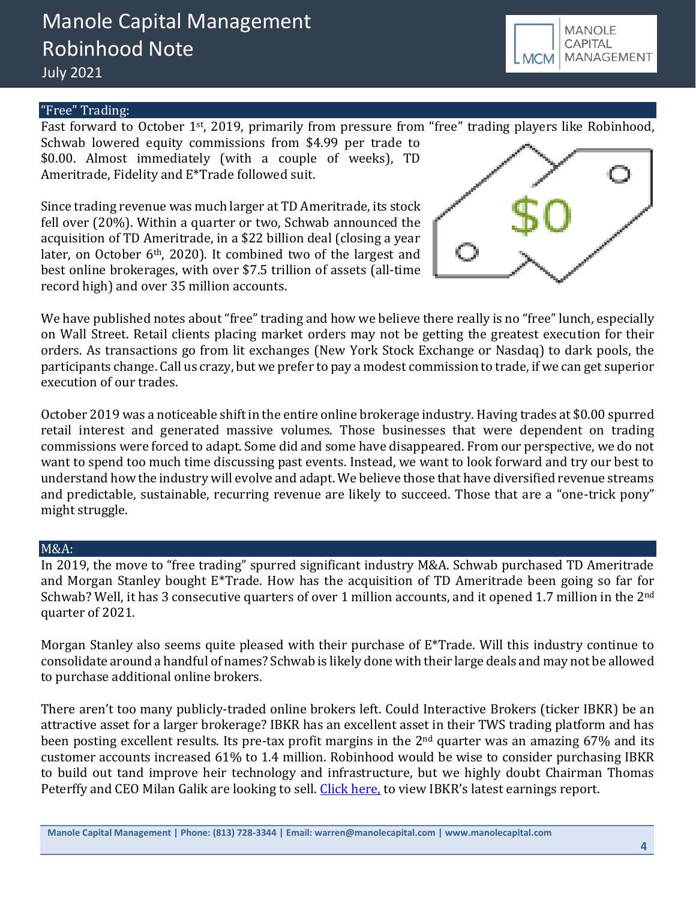## "Free" Trading:

Fast forward to October 1st, 2019, primarily from pressure from "free" trading players like Robinhood, Schwab lowered equity commissions from \$4.99 per trade to \$0.00. Almost immediately (with a couple of weeks), TD Ameritrade, Fidelity and E\*Trade followed suit.

Since trading revenue was much larger at TD Ameritrade, its stock fell over (20%). Within a quarter or two, Schwab announced the acquisition of TD Ameritrade, in a \$22 billion deal (closing a year later, on October  $6<sup>th</sup>$ , 2020). It combined two of the largest and best online brokerages, with over \$7.5 trillion of assets (all-time record high) and over 35 million accounts.

We have published notes about "free" trading and how we believe there really is no "free" lunch, especially on Wall Street. Retail clients placing market orders may not be getting the greatest execution for their orders. As transactions go from lit exchanges (New York Stock Exchange or Nasdaq) to dark pools, the participants change. Call us crazy, but we prefer to pay a modest commission to trade, if we can get superior execution of our trades.

October 2019 was a noticeable shift in the entire online brokerage industry. Having trades at \$0.00 spurred retail interest and generated massive volumes. Those businesses that were dependent on trading commissions were forced to adapt. Some did and some have disappeared. From our perspective, we do not want to spend too much time discussing past events. Instead, we want to look forward and try our best to understand how the industry will evolve and adapt. We believe those that have diversified revenue streams and predictable, sustainable, recurring revenue are likely to succeed. Those that are a "one-trick pony" might struggle.

#### M&A:

In 2019, the move to "free trading" spurred significant industry M&A. Schwab purchased TD Ameritrade and Morgan Stanley bought E\*Trade. How has the acquisition of TD Ameritrade been going so far for Schwab? Well, it has 3 consecutive quarters of over 1 million accounts, and it opened 1.7 million in the 2<sup>nd</sup> quarter of 2021.

Morgan Stanley also seems quite pleased with their purchase of E\*Trade. Will this industry continue to consolidate around a handful of names? Schwab is likely done with their large deals and may not be allowed to purchase additional online brokers.

There aren't too many publicly-traded online brokers left. Could Interactive Brokers (ticker IBKR) be an attractive asset for a larger brokerage? IBKR has an excellent asset in their TWS trading platform and has been posting excellent results. Its pre-tax profit margins in the 2nd quarter was an amazing 67% and its customer accounts increased 61% to 1.4 million. Robinhood would be wise to consider purchasing IBKR to build out tand improve heir technology and infrastructure, but we highly doubt Chairman Thomas Peterffy and CEO Milan Galik are looking to sell. [Click here,](https://investors.interactivebrokers.com/en/index.php?f=1559&p=releases) to view IBKR's latest earnings report.



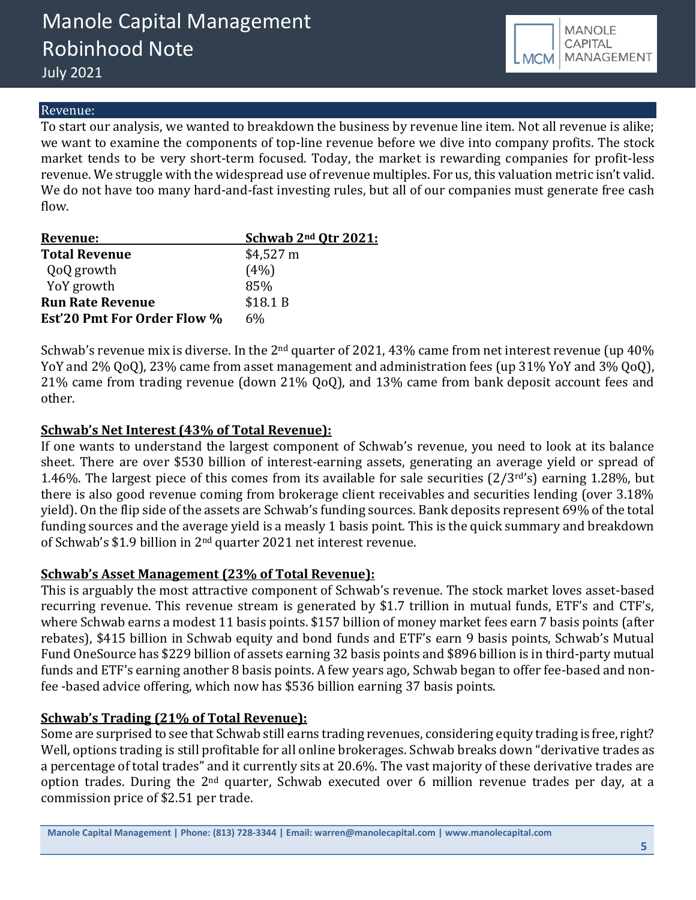

## Revenue:

To start our analysis, we wanted to breakdown the business by revenue line item. Not all revenue is alike; we want to examine the components of top-line revenue before we dive into company profits. The stock market tends to be very short-term focused. Today, the market is rewarding companies for profit-less revenue. We struggle with the widespread use of revenue multiples. For us, this valuation metric isn't valid. We do not have too many hard-and-fast investing rules, but all of our companies must generate free cash flow.

| Revenue:                           | Schwab 2 <sup>nd</sup> Otr 2021: |
|------------------------------------|----------------------------------|
| <b>Total Revenue</b>               | $$4,527 \text{ m}$               |
| QoQ growth                         | (4%)                             |
| YoY growth                         | 85%                              |
| <b>Run Rate Revenue</b>            | \$18.1 B                         |
| <b>Est'20 Pmt For Order Flow %</b> | 6%                               |

Schwab's revenue mix is diverse. In the  $2<sup>nd</sup>$  quarter of 2021, 43% came from net interest revenue (up 40% YoY and 2% QoQ), 23% came from asset management and administration fees (up 31% YoY and 3% QoQ), 21% came from trading revenue (down 21% QoQ), and 13% came from bank deposit account fees and other.

# **Schwab's Net Interest (43% of Total Revenue):**

If one wants to understand the largest component of Schwab's revenue, you need to look at its balance sheet. There are over \$530 billion of interest-earning assets, generating an average yield or spread of 1.46%. The largest piece of this comes from its available for sale securities  $(2/3^{rd}s)$  earning 1.28%, but there is also good revenue coming from brokerage client receivables and securities lending (over 3.18% yield). On the flip side of the assets are Schwab's funding sources. Bank deposits represent 69% of the total funding sources and the average yield is a measly 1 basis point. This is the quick summary and breakdown of Schwab's \$1.9 billion in 2nd quarter 2021 net interest revenue.

# **Schwab's Asset Management (23% of Total Revenue):**

This is arguably the most attractive component of Schwab's revenue. The stock market loves asset-based recurring revenue. This revenue stream is generated by \$1.7 trillion in mutual funds, ETF's and CTF's, where Schwab earns a modest 11 basis points. \$157 billion of money market fees earn 7 basis points (after rebates), \$415 billion in Schwab equity and bond funds and ETF's earn 9 basis points, Schwab's Mutual Fund OneSource has \$229 billion of assets earning 32 basis points and \$896 billion is in third-party mutual funds and ETF's earning another 8 basis points. A few years ago, Schwab began to offer fee-based and nonfee -based advice offering, which now has \$536 billion earning 37 basis points.

# **Schwab's Trading (21% of Total Revenue):**

Some are surprised to see that Schwab still earns trading revenues, considering equity trading is free, right? Well, options trading is still profitable for all online brokerages. Schwab breaks down "derivative trades as a percentage of total trades" and it currently sits at 20.6%. The vast majority of these derivative trades are option trades. During the 2<sup>nd</sup> quarter, Schwab executed over 6 million revenue trades per day, at a commission price of \$2.51 per trade.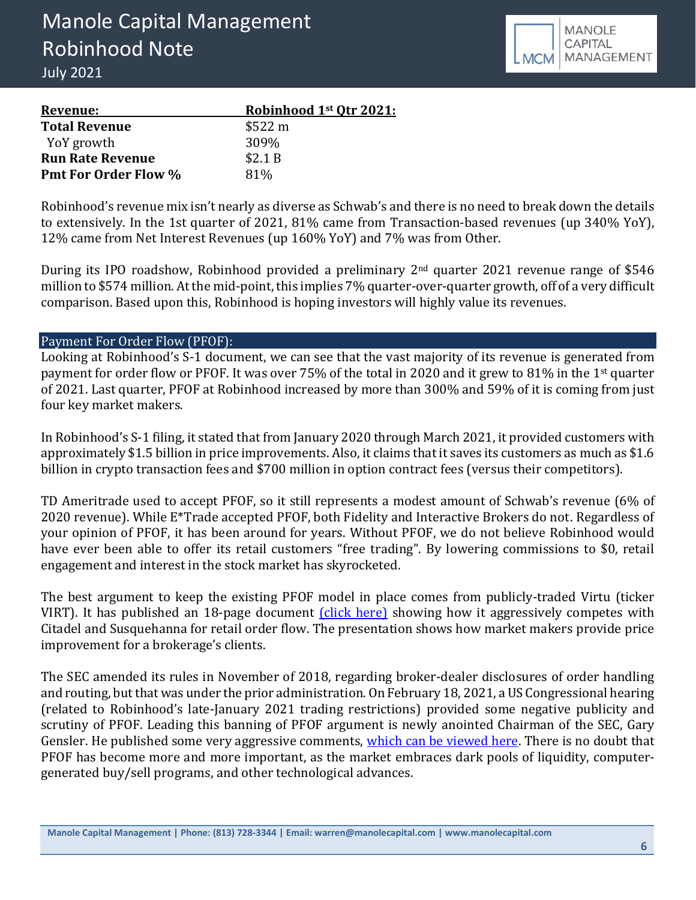

| Revenue:                    | Robinhood 1st Otr 2021: |
|-----------------------------|-------------------------|
| <b>Total Revenue</b>        | \$522 m                 |
| YoY growth                  | 309%                    |
| <b>Run Rate Revenue</b>     | \$2.1B                  |
| <b>Pmt For Order Flow %</b> | 81%                     |

Robinhood's revenue mix isn't nearly as diverse as Schwab's and there is no need to break down the details to extensively. In the 1st quarter of 2021, 81% came from Transaction-based revenues (up 340% YoY), 12% came from Net Interest Revenues (up 160% YoY) and 7% was from Other.

During its IPO roadshow, Robinhood provided a preliminary 2<sup>nd</sup> quarter 2021 revenue range of \$546 million to \$574 million. At the mid-point, this implies 7% quarter-over-quarter growth, off of a very difficult comparison. Based upon this, Robinhood is hoping investors will highly value its revenues.

## Payment For Order Flow (PFOF):

Looking at Robinhood's S-1 document, we can see that the vast majority of its revenue is generated from payment for order flow or PFOF. It was over 75% of the total in 2020 and it grew to 81% in the 1st quarter of 2021. Last quarter, PFOF at Robinhood increased by more than 300% and 59% of it is coming from just four key market makers.

In Robinhood's S-1 filing, it stated that from January 2020 through March 2021, it provided customers with approximately \$1.5 billion in price improvements. Also, it claims that it saves its customers as much as \$1.6 billion in crypto transaction fees and \$700 million in option contract fees (versus their competitors).

TD Ameritrade used to accept PFOF, so it still represents a modest amount of Schwab's revenue (6% of 2020 revenue). While E\*Trade accepted PFOF, both Fidelity and Interactive Brokers do not. Regardless of your opinion of PFOF, it has been around for years. Without PFOF, we do not believe Robinhood would have ever been able to offer its retail customers "free trading". By lowering commissions to \$0, retail engagement and interest in the stock market has skyrocketed.

The best argument to keep the existing PFOF model in place comes from publicly-traded Virtu (ticker VIRT). It has published an 18-page document *(click here)* showing how it aggressively competes with Citadel and Susquehanna for retail order flow. The presentation shows how market makers provide price improvement for a brokerage's clients.

The SEC amended its rules in November of 2018, regarding broker-dealer disclosures of order handling and routing, but that was under the prior administration. On February 18, 2021, a US Congressional hearing (related to Robinhood's late-January 2021 trading restrictions) provided some negative publicity and scrutiny of PFOF. Leading this banning of PFOF argument is newly anointed Chairman of the SEC, Gary Gensler. He published some very aggressive comments, [which can be viewed here.](https://www.sec.gov/news/speech/gensler-global-exchange-fintech-2021-06-09) There is no doubt that PFOF has become more and more important, as the market embraces dark pools of liquidity, computergenerated buy/sell programs, and other technological advances.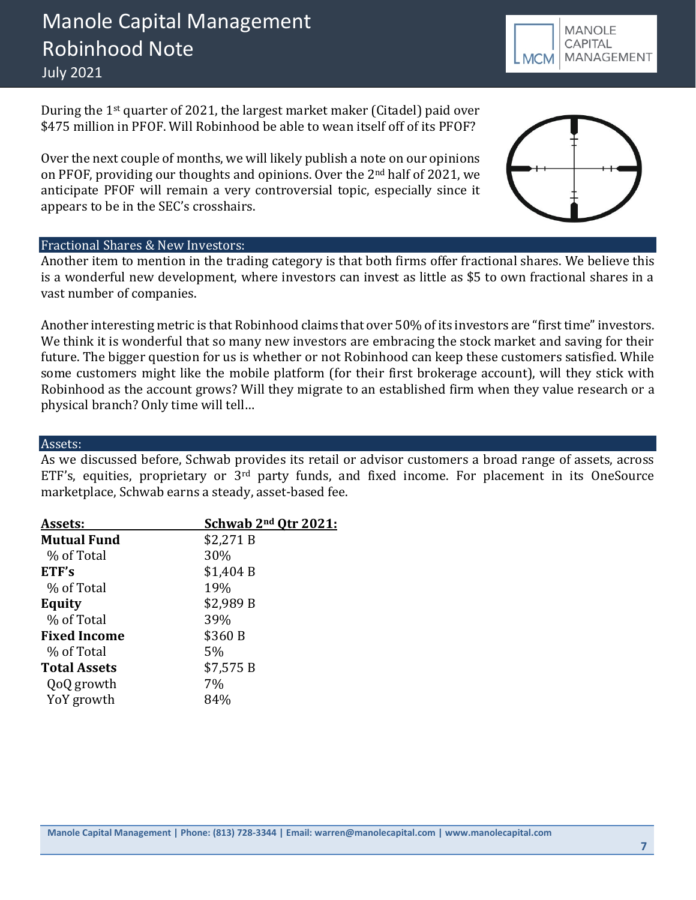# Manole Capital Management Robinhood Note July 2021

During the 1st quarter of 2021, the largest market maker (Citadel) paid over \$475 million in PFOF. Will Robinhood be able to wean itself off of its PFOF?

Over the next couple of months, we will likely publish a note on our opinions on PFOF, providing our thoughts and opinions. Over the 2nd half of 2021, we anticipate PFOF will remain a very controversial topic, especially since it appears to be in the SEC's crosshairs.

#### Fractional Shares & New Investors:

Another item to mention in the trading category is that both firms offer fractional shares. We believe this is a wonderful new development, where investors can invest as little as \$5 to own fractional shares in a vast number of companies.

Another interesting metric is that Robinhood claims that over 50% of its investors are "first time" investors. We think it is wonderful that so many new investors are embracing the stock market and saving for their future. The bigger question for us is whether or not Robinhood can keep these customers satisfied. While some customers might like the mobile platform (for their first brokerage account), will they stick with Robinhood as the account grows? Will they migrate to an established firm when they value research or a physical branch? Only time will tell…

#### Assets:

As we discussed before, Schwab provides its retail or advisor customers a broad range of assets, across ETF's, equities, proprietary or 3rd party funds, and fixed income. For placement in its OneSource marketplace, Schwab earns a steady, asset-based fee.

| Assets:             | Schwab 2 <sup>nd</sup> Otr 2021: |
|---------------------|----------------------------------|
| <b>Mutual Fund</b>  | \$2,271 B                        |
| % of Total          | 30%                              |
| ETF's               | \$1,404 B                        |
| % of Total          | 19%                              |
| Equity              | \$2,989 B                        |
| % of Total          | 39%                              |
| <b>Fixed Income</b> | \$360 B                          |
| % of Total          | 5%                               |
| <b>Total Assets</b> | \$7,575 B                        |
| QoQ growth          | 7%                               |
| YoY growth          | 84%                              |
|                     |                                  |



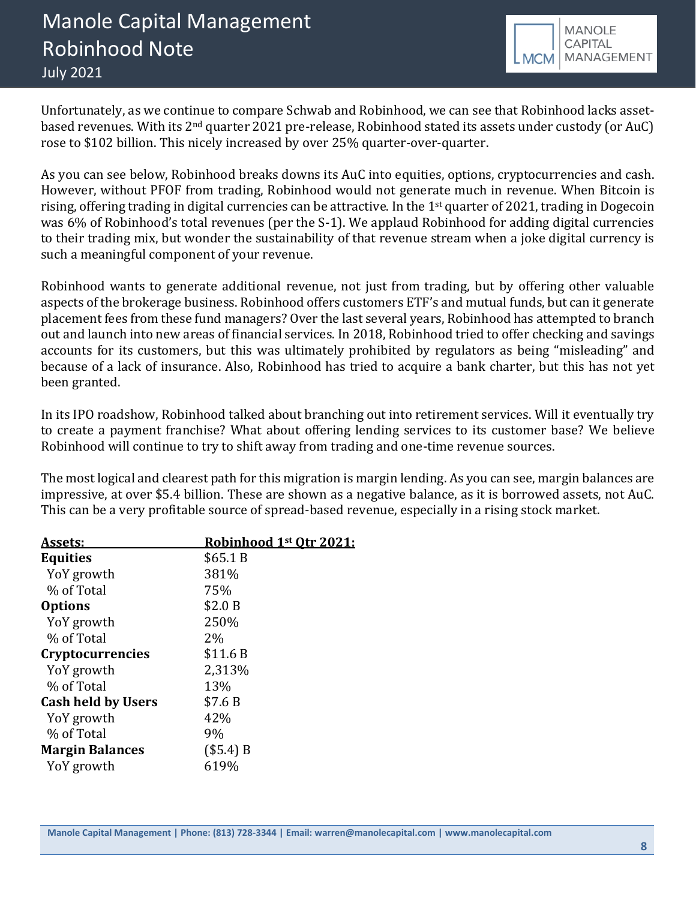

Unfortunately, as we continue to compare Schwab and Robinhood, we can see that Robinhood lacks assetbased revenues. With its 2nd quarter 2021 pre-release, Robinhood stated its assets under custody (or AuC) rose to \$102 billion. This nicely increased by over 25% quarter-over-quarter.

As you can see below, Robinhood breaks downs its AuC into equities, options, cryptocurrencies and cash. However, without PFOF from trading, Robinhood would not generate much in revenue. When Bitcoin is rising, offering trading in digital currencies can be attractive. In the 1st quarter of 2021, trading in Dogecoin was 6% of Robinhood's total revenues (per the S-1). We applaud Robinhood for adding digital currencies to their trading mix, but wonder the sustainability of that revenue stream when a joke digital currency is such a meaningful component of your revenue.

Robinhood wants to generate additional revenue, not just from trading, but by offering other valuable aspects of the brokerage business. Robinhood offers customers ETF's and mutual funds, but can it generate placement fees from these fund managers? Over the last several years, Robinhood has attempted to branch out and launch into new areas of financial services. In 2018, Robinhood tried to offer checking and savings accounts for its customers, but this was ultimately prohibited by regulators as being "misleading" and because of a lack of insurance. Also, Robinhood has tried to acquire a bank charter, but this has not yet been granted.

In its IPO roadshow, Robinhood talked about branching out into retirement services. Will it eventually try to create a payment franchise? What about offering lending services to its customer base? We believe Robinhood will continue to try to shift away from trading and one-time revenue sources.

The most logical and clearest path for this migration is margin lending. As you can see, margin balances are impressive, at over \$5.4 billion. These are shown as a negative balance, as it is borrowed assets, not AuC. This can be a very profitable source of spread-based revenue, especially in a rising stock market.

| Assets:                   | Robinhood 1st Otr 2021: |
|---------------------------|-------------------------|
| <b>Equities</b>           | \$65.1 B                |
| YoY growth                | 381%                    |
| % of Total                | 75%                     |
| <b>Options</b>            | \$2.0 B                 |
| YoY growth                | 250%                    |
| % of Total                | 2%                      |
| <b>Cryptocurrencies</b>   | \$11.6B                 |
| YoY growth                | 2,313%                  |
| % of Total                | 13%                     |
| <b>Cash held by Users</b> | \$7.6B                  |
| YoY growth                | 42%                     |
| % of Total                | 9%                      |
| <b>Margin Balances</b>    | (\$5.4) B               |
| YoY growth                | 619%                    |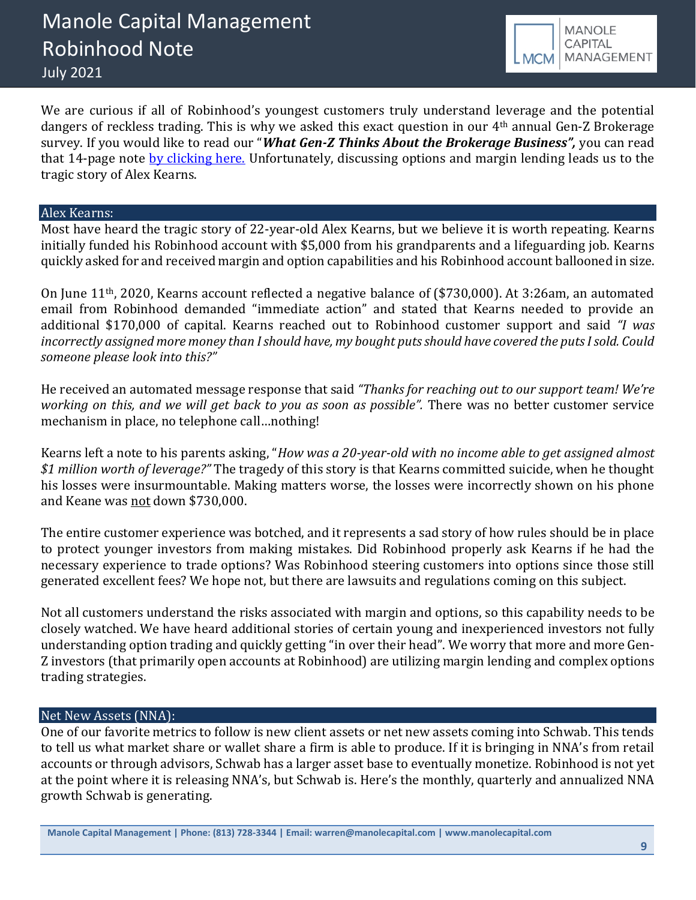

We are curious if all of Robinhood's youngest customers truly understand leverage and the potential dangers of reckless trading. This is why we asked this exact question in our 4th annual Gen-Z Brokerage survey. If you would like to read our "*What Gen-Z Thinks About the Brokerage Business",* you can read that 14-page note [by clicking here.](https://b9f3c509-36e7-4c54-97bf-174f29a2aa48.filesusr.com/ugd/43315f_4b5a59e1734a4363bbf44f67561cabd0.pdf) Unfortunately, discussing options and margin lending leads us to the tragic story of Alex Kearns.

#### Alex Kearns:

Most have heard the tragic story of 22-year-old Alex Kearns, but we believe it is worth repeating. Kearns initially funded his Robinhood account with \$5,000 from his grandparents and a lifeguarding job. Kearns quickly asked for and received margin and option capabilities and his Robinhood account ballooned in size.

On June 11th, 2020, Kearns account reflected a negative balance of (\$730,000). At 3:26am, an automated email from Robinhood demanded "immediate action" and stated that Kearns needed to provide an additional \$170,000 of capital. Kearns reached out to Robinhood customer support and said *"I was incorrectly assigned more money than I should have, my bought puts should have covered the puts I sold. Could someone please look into this?"* 

He received an automated message response that said *"Thanks for reaching out to our support team! We're working on this, and we will get back to you as soon as possible".* There was no better customer service mechanism in place, no telephone call…nothing!

Kearns left a note to his parents asking, "*How was a 20-year-old with no income able to get assigned almost \$1 million worth of leverage?"* The tragedy of this story is that Kearns committed suicide, when he thought his losses were insurmountable. Making matters worse, the losses were incorrectly shown on his phone and Keane was not down \$730,000.

The entire customer experience was botched, and it represents a sad story of how rules should be in place to protect younger investors from making mistakes. Did Robinhood properly ask Kearns if he had the necessary experience to trade options? Was Robinhood steering customers into options since those still generated excellent fees? We hope not, but there are lawsuits and regulations coming on this subject.

Not all customers understand the risks associated with margin and options, so this capability needs to be closely watched. We have heard additional stories of certain young and inexperienced investors not fully understanding option trading and quickly getting "in over their head". We worry that more and more Gen-Z investors (that primarily open accounts at Robinhood) are utilizing margin lending and complex options trading strategies.

# Net New Assets (NNA):

One of our favorite metrics to follow is new client assets or net new assets coming into Schwab. This tends to tell us what market share or wallet share a firm is able to produce. If it is bringing in NNA's from retail accounts or through advisors, Schwab has a larger asset base to eventually monetize. Robinhood is not yet at the point where it is releasing NNA's, but Schwab is. Here's the monthly, quarterly and annualized NNA growth Schwab is generating.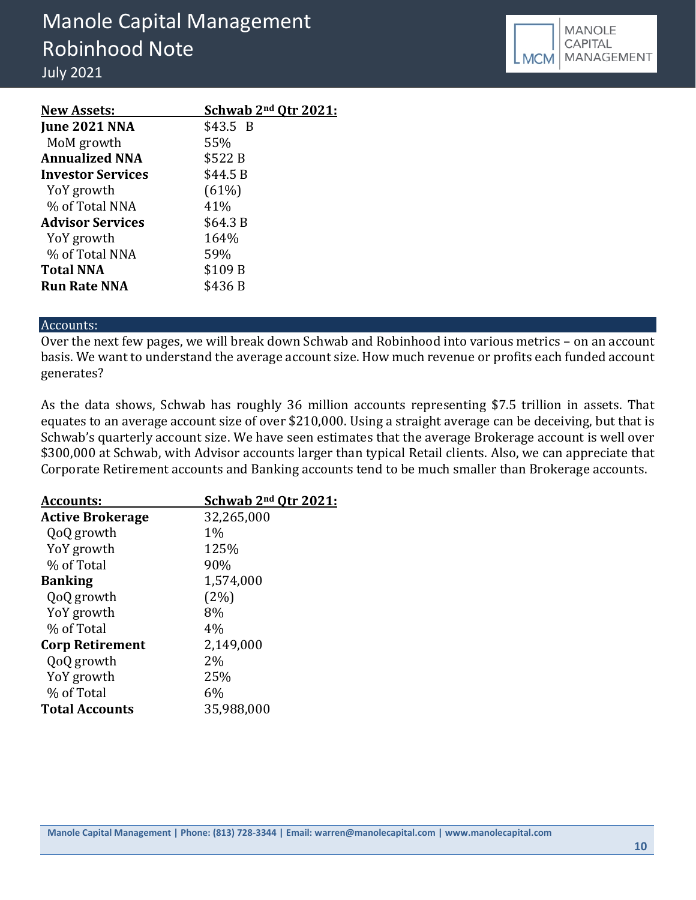| <b>New Assets:</b>       | Schwab 2 <sup>nd</sup> Otr 2021: |
|--------------------------|----------------------------------|
| <b>June 2021 NNA</b>     | \$43.5 B                         |
| MoM growth               | 55%                              |
| <b>Annualized NNA</b>    | \$522 B                          |
| <b>Investor Services</b> | \$44.5 B                         |
| YoY growth               | (61%)                            |
| % of Total NNA           | 41%                              |
| <b>Advisor Services</b>  | \$64.3 B                         |
| YoY growth               | 164%                             |
| % of Total NNA           | 59%                              |
| <b>Total NNA</b>         | \$109 B                          |
| <b>Run Rate NNA</b>      | \$436 B                          |

#### Accounts:

Over the next few pages, we will break down Schwab and Robinhood into various metrics – on an account basis. We want to understand the average account size. How much revenue or profits each funded account generates?

As the data shows, Schwab has roughly 36 million accounts representing \$7.5 trillion in assets. That equates to an average account size of over \$210,000. Using a straight average can be deceiving, but that is Schwab's quarterly account size. We have seen estimates that the average Brokerage account is well over \$300,000 at Schwab, with Advisor accounts larger than typical Retail clients. Also, we can appreciate that Corporate Retirement accounts and Banking accounts tend to be much smaller than Brokerage accounts.

| Accounts:               | Schwab 2 <sup>nd</sup> Qtr 2021: |
|-------------------------|----------------------------------|
| <b>Active Brokerage</b> | 32,265,000                       |
| QoQ growth              | $1\%$                            |
| YoY growth              | 125%                             |
| % of Total              | 90%                              |
| <b>Banking</b>          | 1,574,000                        |
| QoQ growth              | (2%)                             |
| YoY growth              | 8%                               |
| % of Total              | 4%                               |
| <b>Corp Retirement</b>  | 2,149,000                        |
| QoQ growth              | $2\%$                            |
| YoY growth              | 25%                              |
| % of Total              | 6%                               |
| <b>Total Accounts</b>   | 35,988,000                       |
|                         |                                  |

**Manole Capital Management | Phone: (813) 728-3344 | Email: warren@manolecapital.com | www.manolecapital.com**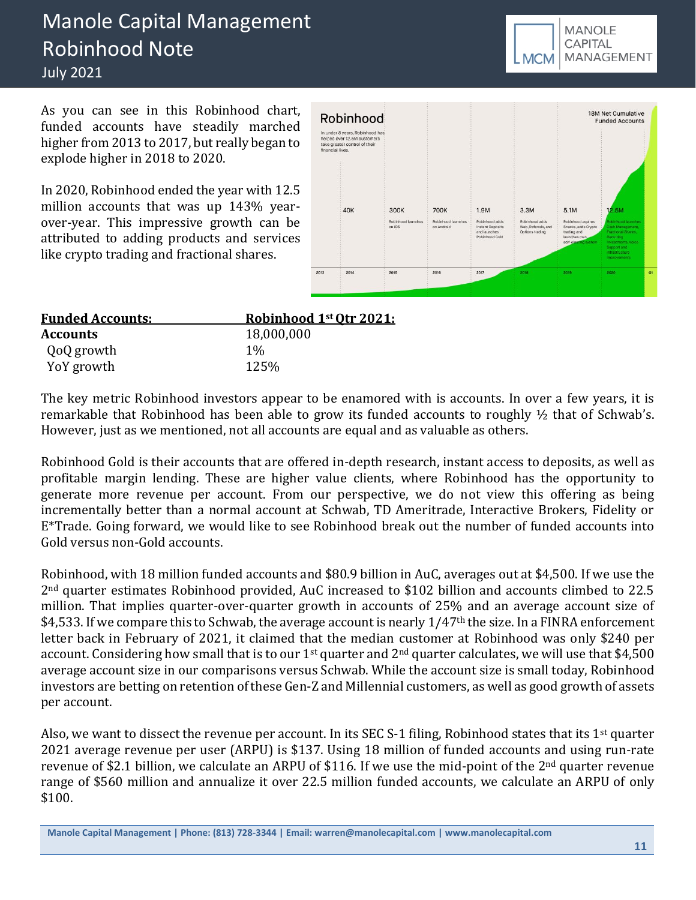# Manole Capital Management Robinhood Note July 2021

As you can see in this Robinhood chart, funded accounts have steadily marched higher from 2013 to 2017, but really began to explode higher in 2018 to 2020.

In 2020, Robinhood ended the year with 12.5 million accounts that was up 143% yearover-year. This impressive growth can be attributed to adding products and services like crypto trading and fractional shares.

| Robinhood                                                                                                           |                                      |                                                 |                                            |                                               |                                                      | <b>JOIN NET CUTTURING</b><br><b>Funded Accounts</b>                                                                  |    |
|---------------------------------------------------------------------------------------------------------------------|--------------------------------------|-------------------------------------------------|--------------------------------------------|-----------------------------------------------|------------------------------------------------------|----------------------------------------------------------------------------------------------------------------------|----|
| In under 8 years, Robinhood has<br>helped over 12.5M customers<br>take greater control of their<br>financial lives. |                                      |                                                 |                                            |                                               |                                                      |                                                                                                                      |    |
| <b>40K</b>                                                                                                          | 300K<br>Robinhood launches<br>on iOS | <b>700K</b><br>Robinhood launches<br>on Android | 1.9M<br>Robinhood adds<br>Instant Deposits | 3.3M<br>Robinhood adds<br>Web, Referrals, and | 5.1M<br>Robinhood aguires<br>Snacks, adds Crypto     | 12.5M<br>Robinhood launches<br>Cash Management,                                                                      |    |
|                                                                                                                     |                                      |                                                 | and launches<br>Robinhood Gold             | Options trading                               | trading and<br>launches own.<br>self-clearing system | Fractional Shares,<br>Recurring<br><b>Investments, Voice</b><br>Support and<br>infrastructure<br><i>improvements</i> |    |
| 2013<br>2014                                                                                                        | 2015                                 | 2016                                            | 2017                                       | 2018                                          | 2019                                                 | 2020                                                                                                                 | Q1 |

| <b>Funded Accounts:</b> | Robinhood 1st Otr 2021: |
|-------------------------|-------------------------|
| <b>Accounts</b>         | 18,000,000              |
| QoQ growth              | $1\%$                   |
| YoY growth              | 125%                    |

The key metric Robinhood investors appear to be enamored with is accounts. In over a few years, it is remarkable that Robinhood has been able to grow its funded accounts to roughly ½ that of Schwab's. However, just as we mentioned, not all accounts are equal and as valuable as others.

Robinhood Gold is their accounts that are offered in-depth research, instant access to deposits, as well as profitable margin lending. These are higher value clients, where Robinhood has the opportunity to generate more revenue per account. From our perspective, we do not view this offering as being incrementally better than a normal account at Schwab, TD Ameritrade, Interactive Brokers, Fidelity or E\*Trade. Going forward, we would like to see Robinhood break out the number of funded accounts into Gold versus non-Gold accounts.

Robinhood, with 18 million funded accounts and \$80.9 billion in AuC, averages out at \$4,500. If we use the 2nd quarter estimates Robinhood provided, AuC increased to \$102 billion and accounts climbed to 22.5 million. That implies quarter-over-quarter growth in accounts of 25% and an average account size of \$4,533. If we compare this to Schwab, the average account is nearly  $1/47$ <sup>th</sup> the size. In a FINRA enforcement letter back in February of 2021, it claimed that the median customer at Robinhood was only \$240 per account. Considering how small that is to our  $1<sup>st</sup>$  quarter and  $2<sup>nd</sup>$  quarter calculates, we will use that \$4,500 average account size in our comparisons versus Schwab. While the account size is small today, Robinhood investors are betting on retention of these Gen-Z and Millennial customers, as well as good growth of assets per account.

Also, we want to dissect the revenue per account. In its SEC S-1 filing, Robinhood states that its 1<sup>st</sup> quarter 2021 average revenue per user (ARPU) is \$137. Using 18 million of funded accounts and using run-rate revenue of \$2.1 billion, we calculate an ARPU of \$116. If we use the mid-point of the 2<sup>nd</sup> quarter revenue range of \$560 million and annualize it over 22.5 million funded accounts, we calculate an ARPU of only \$100.



**Manole Capital Management | Phone: (813) 728-3344 | Email: warren@manolecapital.com | www.manolecapital.com**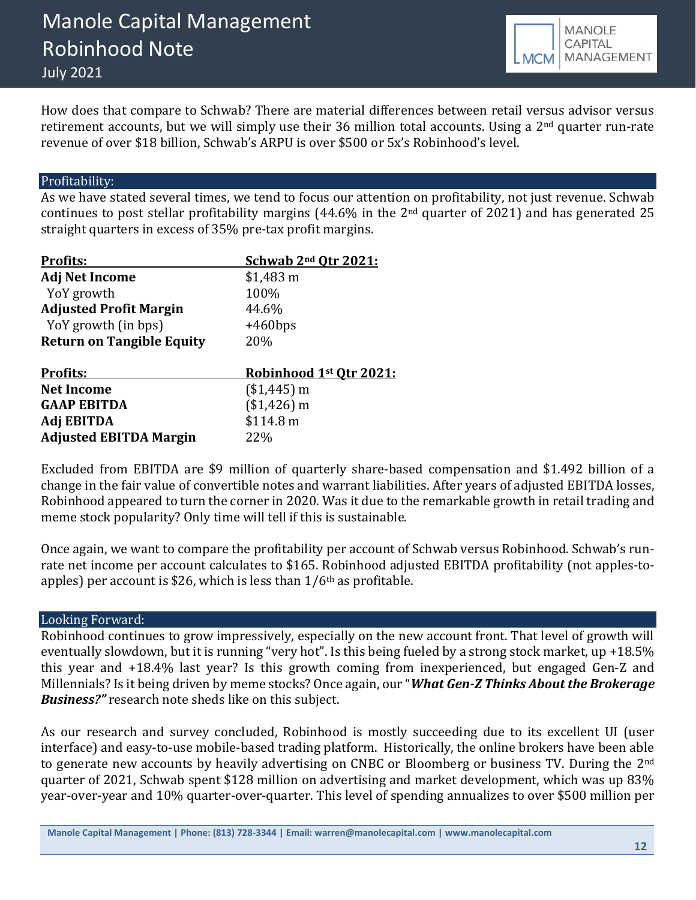

How does that compare to Schwab? There are material differences between retail versus advisor versus retirement accounts, but we will simply use their 36 million total accounts. Using a 2<sup>nd</sup> quarter run-rate revenue of over \$18 billion, Schwab's ARPU is over \$500 or 5x's Robinhood's level.

# Profitability:

As we have stated several times, we tend to focus our attention on profitability, not just revenue. Schwab continues to post stellar profitability margins (44.6% in the 2nd quarter of 2021) and has generated 25 straight quarters in excess of 35% pre-tax profit margins.

| <b>Profits:</b>                  | Schwab 2 <sup>nd</sup> Qtr 2021: |
|----------------------------------|----------------------------------|
| <b>Adj Net Income</b>            | $$1,483$ m                       |
| YoY growth                       | 100%                             |
| <b>Adjusted Profit Margin</b>    | 44.6%                            |
| YoY growth (in bps)              | $+460$ bps                       |
| <b>Return on Tangible Equity</b> | 20%                              |
|                                  |                                  |
| <b>Profits:</b>                  | Robinhood 1st Qtr 2021:          |
| <b>Net Income</b>                | $($1,445)$ m                     |
| <b>GAAP EBITDA</b>               | $($1,426)$ m                     |
| Adj EBITDA                       | \$114.8 m                        |
| <b>Adjusted EBITDA Margin</b>    | 22%                              |

Excluded from EBITDA are \$9 million of quarterly share-based compensation and \$1.492 billion of a change in the fair value of convertible notes and warrant liabilities. After years of adjusted EBITDA losses, Robinhood appeared to turn the corner in 2020. Was it due to the remarkable growth in retail trading and meme stock popularity? Only time will tell if this is sustainable.

Once again, we want to compare the profitability per account of Schwab versus Robinhood. Schwab's runrate net income per account calculates to \$165. Robinhood adjusted EBITDA profitability (not apples-toapples) per account is \$26, which is less than  $1/6$ <sup>th</sup> as profitable.

### Looking Forward:

Robinhood continues to grow impressively, especially on the new account front. That level of growth will eventually slowdown, but it is running "very hot". Is this being fueled by a strong stock market, up +18.5% this year and +18.4% last year? Is this growth coming from inexperienced, but engaged Gen-Z and Millennials? Is it being driven by meme stocks? Once again, our "*What Gen-Z Thinks About the Brokerage Business?"* research note sheds like on this subject.

As our research and survey concluded, Robinhood is mostly succeeding due to its excellent UI (user interface) and easy-to-use mobile-based trading platform. Historically, the online brokers have been able to generate new accounts by heavily advertising on CNBC or Bloomberg or business TV. During the 2<sup>nd</sup> quarter of 2021, Schwab spent \$128 million on advertising and market development, which was up 83% year-over-year and 10% quarter-over-quarter. This level of spending annualizes to over \$500 million per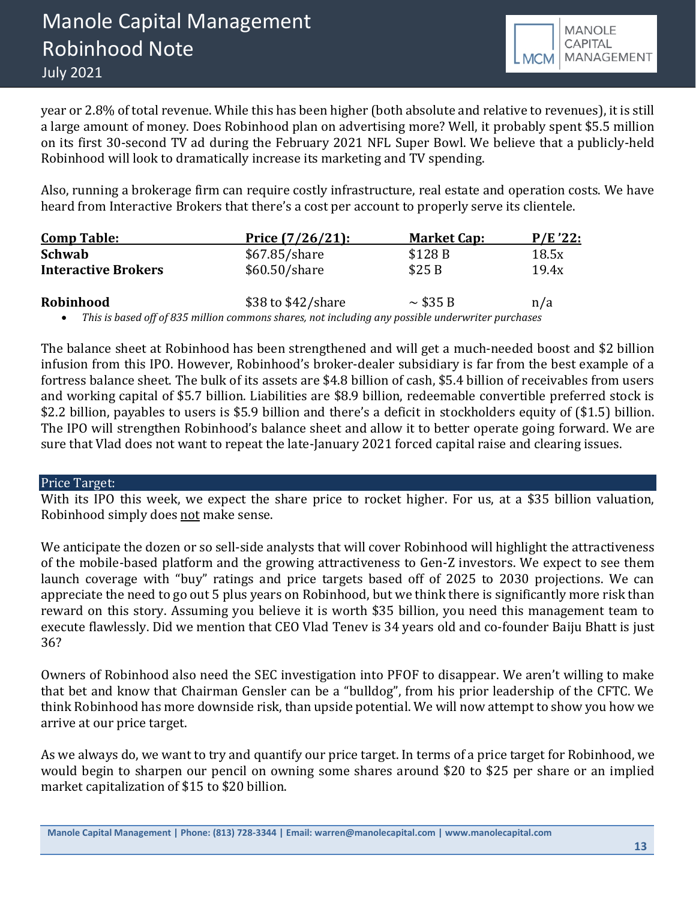

year or 2.8% of total revenue. While this has been higher (both absolute and relative to revenues), it is still a large amount of money. Does Robinhood plan on advertising more? Well, it probably spent \$5.5 million on its first 30-second TV ad during the February 2021 NFL Super Bowl. We believe that a publicly-held Robinhood will look to dramatically increase its marketing and TV spending.

Also, running a brokerage firm can require costly infrastructure, real estate and operation costs. We have heard from Interactive Brokers that there's a cost per account to properly serve its clientele.

| <b>Comp Table:</b>         | Price $(7/26/21)$ : | <b>Market Cap:</b> | P/E'22: |
|----------------------------|---------------------|--------------------|---------|
| Schwab                     | $$67.85/s$ hare     | \$128 B            | 18.5x   |
| <b>Interactive Brokers</b> | \$60.50/share       | \$25B              | 19.4x   |
| Robinhood                  | \$38 to \$42/share  | $\sim$ \$35 B      | n/a     |

• *This is based off of 835 million commons shares, not including any possible underwriter purchases*

The balance sheet at Robinhood has been strengthened and will get a much-needed boost and \$2 billion infusion from this IPO. However, Robinhood's broker-dealer subsidiary is far from the best example of a fortress balance sheet. The bulk of its assets are \$4.8 billion of cash, \$5.4 billion of receivables from users and working capital of \$5.7 billion. Liabilities are \$8.9 billion, redeemable convertible preferred stock is \$2.2 billion, payables to users is \$5.9 billion and there's a deficit in stockholders equity of (\$1.5) billion. The IPO will strengthen Robinhood's balance sheet and allow it to better operate going forward. We are sure that Vlad does not want to repeat the late-January 2021 forced capital raise and clearing issues.

#### Price Target:

With its IPO this week, we expect the share price to rocket higher. For us, at a \$35 billion valuation, Robinhood simply does not make sense.

We anticipate the dozen or so sell-side analysts that will cover Robinhood will highlight the attractiveness of the mobile-based platform and the growing attractiveness to Gen-Z investors. We expect to see them launch coverage with "buy" ratings and price targets based off of 2025 to 2030 projections. We can appreciate the need to go out 5 plus years on Robinhood, but we think there is significantly more risk than reward on this story. Assuming you believe it is worth \$35 billion, you need this management team to execute flawlessly. Did we mention that CEO Vlad Tenev is 34 years old and co-founder Baiju Bhatt is just 36?

Owners of Robinhood also need the SEC investigation into PFOF to disappear. We aren't willing to make that bet and know that Chairman Gensler can be a "bulldog", from his prior leadership of the CFTC. We think Robinhood has more downside risk, than upside potential. We will now attempt to show you how we arrive at our price target.

As we always do, we want to try and quantify our price target. In terms of a price target for Robinhood, we would begin to sharpen our pencil on owning some shares around \$20 to \$25 per share or an implied market capitalization of \$15 to \$20 billion.

**Manole Capital Management | Phone: (813) 728-3344 | Email: warren@manolecapital.com | www.manolecapital.com**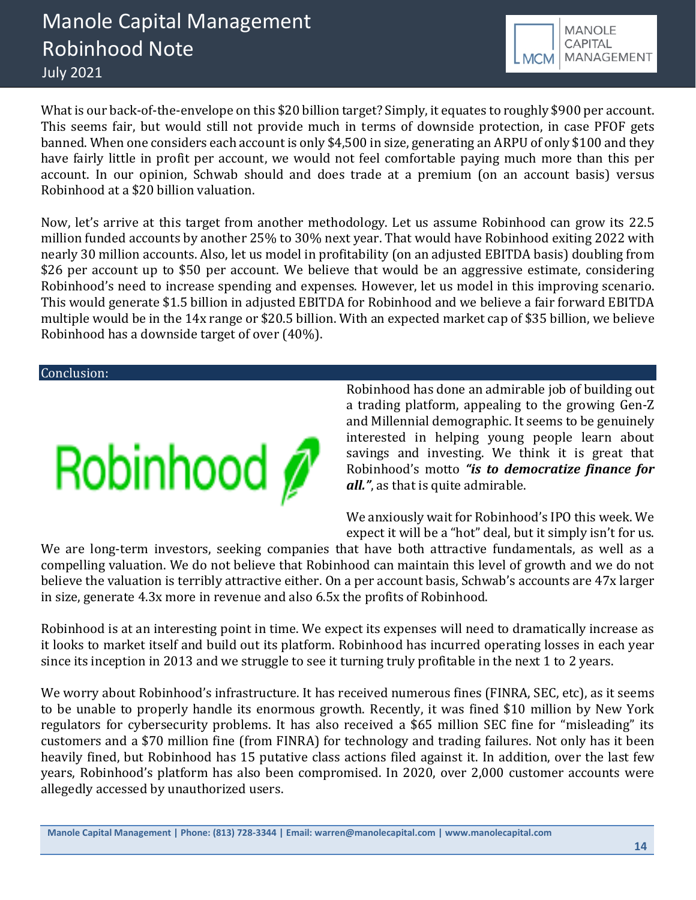

What is our back-of-the-envelope on this \$20 billion target? Simply, it equates to roughly \$900 per account. This seems fair, but would still not provide much in terms of downside protection, in case PFOF gets banned. When one considers each account is only \$4,500 in size, generating an ARPU of only \$100 and they have fairly little in profit per account, we would not feel comfortable paying much more than this per account. In our opinion, Schwab should and does trade at a premium (on an account basis) versus Robinhood at a \$20 billion valuation.

Now, let's arrive at this target from another methodology. Let us assume Robinhood can grow its 22.5 million funded accounts by another 25% to 30% next year. That would have Robinhood exiting 2022 with nearly 30 million accounts. Also, let us model in profitability (on an adjusted EBITDA basis) doubling from \$26 per account up to \$50 per account. We believe that would be an aggressive estimate, considering Robinhood's need to increase spending and expenses. However, let us model in this improving scenario. This would generate \$1.5 billion in adjusted EBITDA for Robinhood and we believe a fair forward EBITDA multiple would be in the 14x range or \$20.5 billion. With an expected market cap of \$35 billion, we believe Robinhood has a downside target of over (40%).

Conclusion:



Robinhood has done an admirable job of building out a trading platform, appealing to the growing Gen-Z and Millennial demographic. It seems to be genuinely interested in helping young people learn about savings and investing. We think it is great that Robinhood's motto *"is to democratize finance for all."*, as that is quite admirable.

We anxiously wait for Robinhood's IPO this week. We expect it will be a "hot" deal, but it simply isn't for us.

We are long-term investors, seeking companies that have both attractive fundamentals, as well as a compelling valuation. We do not believe that Robinhood can maintain this level of growth and we do not believe the valuation is terribly attractive either. On a per account basis, Schwab's accounts are 47x larger in size, generate 4.3x more in revenue and also 6.5x the profits of Robinhood.

Robinhood is at an interesting point in time. We expect its expenses will need to dramatically increase as it looks to market itself and build out its platform. Robinhood has incurred operating losses in each year since its inception in 2013 and we struggle to see it turning truly profitable in the next 1 to 2 years.

We worry about Robinhood's infrastructure. It has received numerous fines (FINRA, SEC, etc), as it seems to be unable to properly handle its enormous growth. Recently, it was fined \$10 million by New York regulators for cybersecurity problems. It has also received a \$65 million SEC fine for "misleading" its customers and a \$70 million fine (from FINRA) for technology and trading failures. Not only has it been heavily fined, but Robinhood has 15 putative class actions filed against it. In addition, over the last few years, Robinhood's platform has also been compromised. In 2020, over 2,000 customer accounts were allegedly accessed by unauthorized users.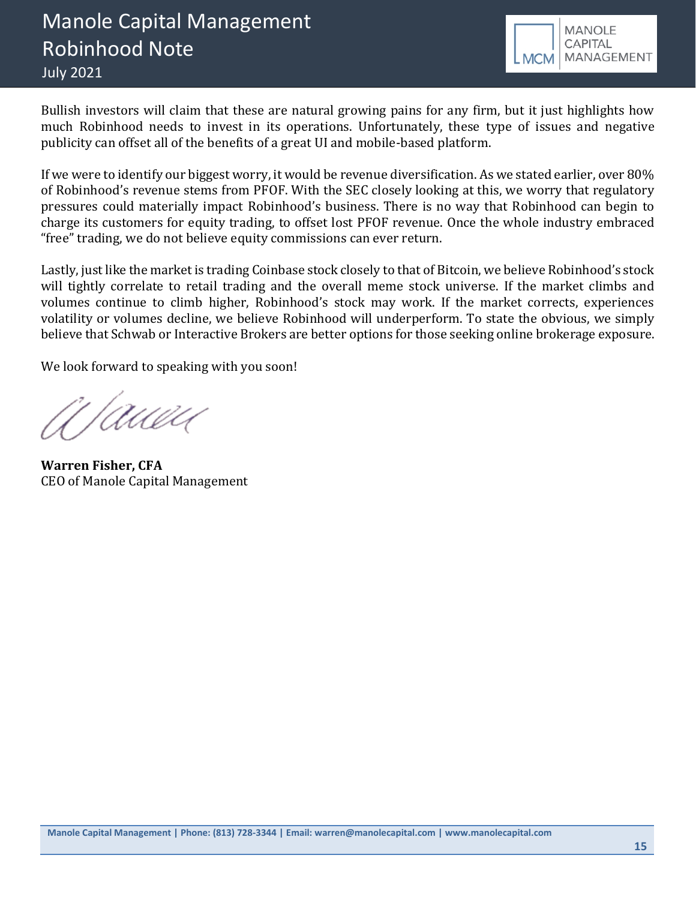

Bullish investors will claim that these are natural growing pains for any firm, but it just highlights how much Robinhood needs to invest in its operations. Unfortunately, these type of issues and negative publicity can offset all of the benefits of a great UI and mobile-based platform.

If we were to identify our biggest worry, it would be revenue diversification. As we stated earlier, over 80% of Robinhood's revenue stems from PFOF. With the SEC closely looking at this, we worry that regulatory pressures could materially impact Robinhood's business. There is no way that Robinhood can begin to charge its customers for equity trading, to offset lost PFOF revenue. Once the whole industry embraced "free" trading, we do not believe equity commissions can ever return.

Lastly, just like the market is trading Coinbase stock closely to that of Bitcoin, we believe Robinhood's stock will tightly correlate to retail trading and the overall meme stock universe. If the market climbs and volumes continue to climb higher, Robinhood's stock may work. If the market corrects, experiences volatility or volumes decline, we believe Robinhood will underperform. To state the obvious, we simply believe that Schwab or Interactive Brokers are better options for those seeking online brokerage exposure.

We look forward to speaking with you soon!

'/Awad

**Warren Fisher, CFA** CEO of Manole Capital Management